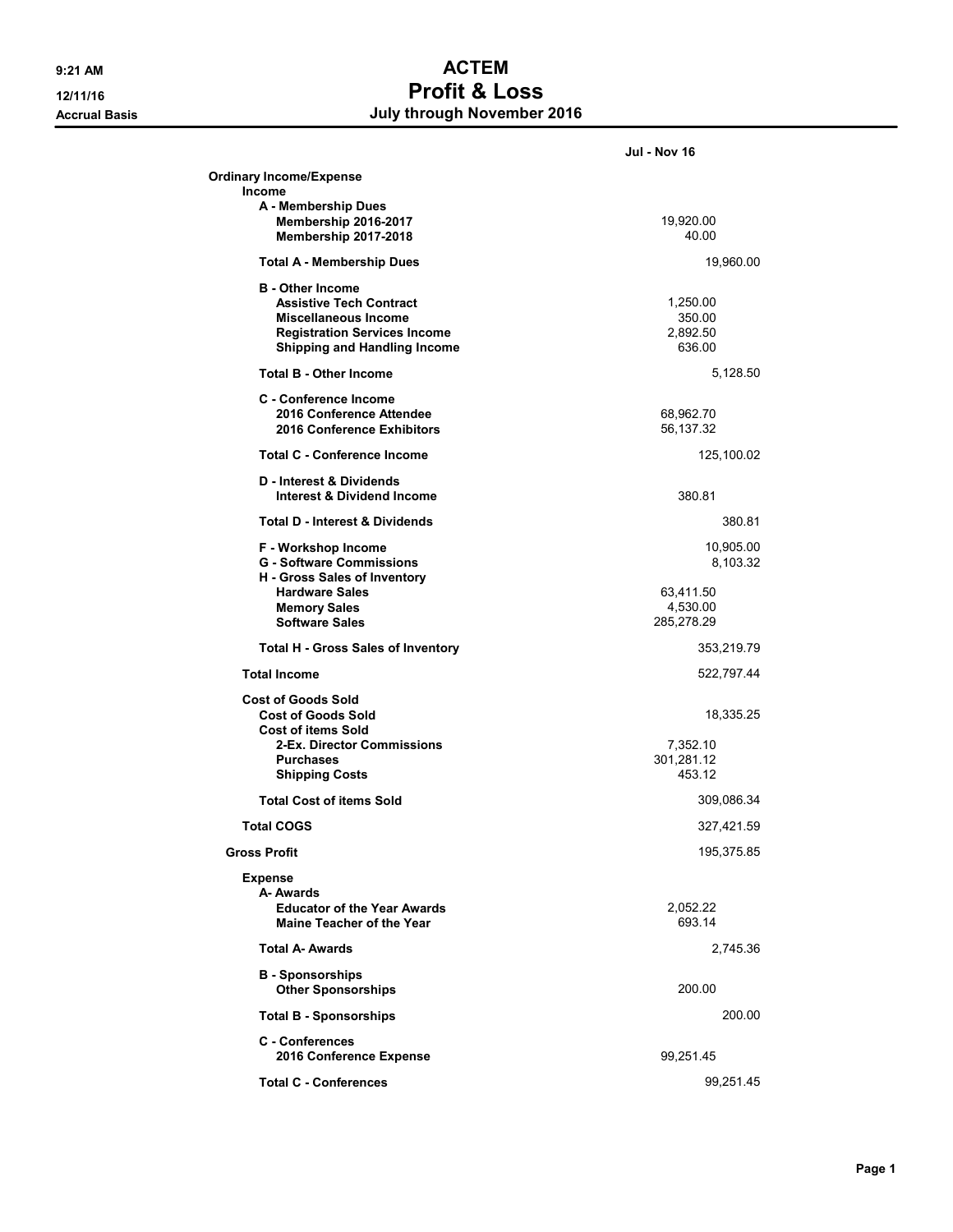## 9:21 AM **ACTEM** 12/11/16 Profit & Loss Accrual Basis **Accrual Basis July through November 2016**

|                                                                            | Jul - Nov 16           |
|----------------------------------------------------------------------------|------------------------|
| <b>Ordinary Income/Expense</b><br>Income                                   |                        |
| A - Membership Dues                                                        |                        |
| Membership 2016-2017<br>Membership 2017-2018                               | 19,920.00<br>40.00     |
| <b>Total A - Membership Dues</b>                                           | 19,960.00              |
| <b>B</b> - Other Income<br><b>Assistive Tech Contract</b>                  |                        |
| <b>Miscellaneous Income</b>                                                | 1,250.00<br>350.00     |
| <b>Registration Services Income</b><br><b>Shipping and Handling Income</b> | 2,892.50<br>636.00     |
| <b>Total B - Other Income</b>                                              | 5,128.50               |
| C - Conference Income                                                      |                        |
| 2016 Conference Attendee<br>2016 Conference Exhibitors                     | 68,962.70<br>56,137.32 |
| <b>Total C - Conference Income</b>                                         | 125,100.02             |
| D - Interest & Dividends                                                   |                        |
| <b>Interest &amp; Dividend Income</b>                                      | 380.81                 |
| <b>Total D - Interest &amp; Dividends</b>                                  | 380.81                 |
| F - Workshop Income                                                        | 10,905.00              |
| <b>G</b> - Software Commissions<br>H - Gross Sales of Inventory            | 8,103.32               |
| <b>Hardware Sales</b>                                                      | 63,411.50              |
| <b>Memory Sales</b>                                                        | 4,530.00               |
| <b>Software Sales</b>                                                      | 285,278.29             |
| <b>Total H - Gross Sales of Inventory</b>                                  | 353,219.79             |
| <b>Total Income</b>                                                        | 522,797.44             |
| <b>Cost of Goods Sold</b>                                                  |                        |
| <b>Cost of Goods Sold</b>                                                  | 18,335.25              |
| <b>Cost of items Sold</b><br>2-Ex. Director Commissions                    | 7,352.10               |
| <b>Purchases</b>                                                           | 301,281.12             |
| <b>Shipping Costs</b>                                                      | 453.12                 |
| <b>Total Cost of items Sold</b>                                            | 309,086.34             |
| <b>Total COGS</b>                                                          | 327,421.59             |
| <b>Gross Profit</b>                                                        | 195,375.85             |
| <b>Expense</b>                                                             |                        |
| A- Awards<br><b>Educator of the Year Awards</b>                            | 2,052.22               |
| <b>Maine Teacher of the Year</b>                                           | 693.14                 |
| <b>Total A- Awards</b>                                                     | 2,745.36               |
| <b>B</b> - Sponsorships<br><b>Other Sponsorships</b>                       | 200.00                 |
| <b>Total B - Sponsorships</b>                                              | 200.00                 |
| <b>C</b> - Conferences                                                     |                        |
| 2016 Conference Expense                                                    | 99,251.45              |
| <b>Total C - Conferences</b>                                               | 99,251.45              |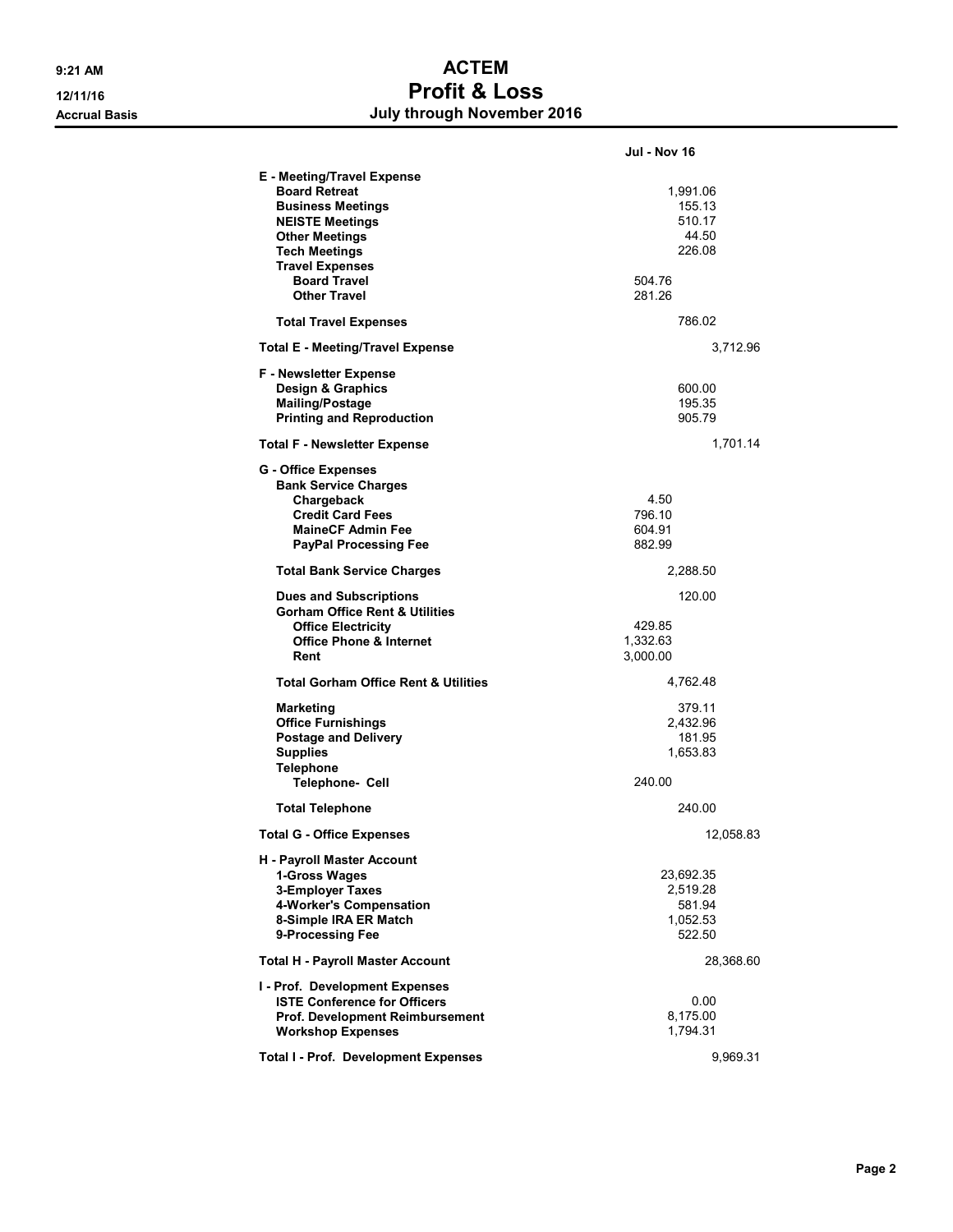## 9:21 AM **ACTEM** 12/11/16 Profit & Loss Accrual Basis **Accrual Basis July through November 2016**

|                                                                                                                                                                                                                                   | Jul - Nov 16                                                        |
|-----------------------------------------------------------------------------------------------------------------------------------------------------------------------------------------------------------------------------------|---------------------------------------------------------------------|
| E - Meeting/Travel Expense<br><b>Board Retreat</b><br><b>Business Meetings</b><br><b>NEISTE Meetings</b><br><b>Other Meetings</b><br><b>Tech Meetings</b><br><b>Travel Expenses</b><br><b>Board Travel</b><br><b>Other Travel</b> | 1,991.06<br>155.13<br>510.17<br>44.50<br>226.08<br>504.76<br>281.26 |
| <b>Total Travel Expenses</b>                                                                                                                                                                                                      | 786.02                                                              |
| Total E - Meeting/Travel Expense                                                                                                                                                                                                  | 3,712.96                                                            |
| <b>F</b> - Newsletter Expense<br>Design & Graphics<br><b>Mailing/Postage</b><br><b>Printing and Reproduction</b>                                                                                                                  | 600.00<br>195.35<br>905.79                                          |
| <b>Total F - Newsletter Expense</b>                                                                                                                                                                                               | 1,701.14                                                            |
| <b>G</b> - Office Expenses<br><b>Bank Service Charges</b><br>Chargeback<br><b>Credit Card Fees</b><br><b>MaineCF Admin Fee</b><br><b>PayPal Processing Fee</b>                                                                    | 4.50<br>796.10<br>604.91<br>882.99                                  |
| <b>Total Bank Service Charges</b>                                                                                                                                                                                                 | 2,288.50                                                            |
| <b>Dues and Subscriptions</b><br><b>Gorham Office Rent &amp; Utilities</b><br><b>Office Electricity</b><br><b>Office Phone &amp; Internet</b><br>Rent                                                                             | 120.00<br>429.85<br>1,332.63<br>3,000.00                            |
| <b>Total Gorham Office Rent &amp; Utilities</b>                                                                                                                                                                                   | 4,762.48                                                            |
| <b>Marketing</b><br><b>Office Furnishings</b><br><b>Postage and Delivery</b><br><b>Supplies</b><br><b>Telephone</b><br>Telephone- Cell                                                                                            | 379.11<br>2,432.96<br>181.95<br>1,653.83<br>240.00                  |
| <b>Total Telephone</b>                                                                                                                                                                                                            | 240.00                                                              |
| <b>Total G - Office Expenses</b>                                                                                                                                                                                                  | 12,058.83                                                           |
| <b>H</b> - Payroll Master Account<br>1-Gross Wages<br>3-Employer Taxes<br>4-Worker's Compensation<br>8-Simple IRA ER Match<br>9-Processing Fee                                                                                    | 23,692.35<br>2,519.28<br>581.94<br>1,052.53<br>522.50               |
| <b>Total H - Payroll Master Account</b>                                                                                                                                                                                           | 28,368.60                                                           |
| I - Prof. Development Expenses<br><b>ISTE Conference for Officers</b><br><b>Prof. Development Reimbursement</b><br><b>Workshop Expenses</b>                                                                                       | 0.00<br>8,175.00<br>1,794.31                                        |
| Total I - Prof. Development Expenses                                                                                                                                                                                              | 9,969.31                                                            |